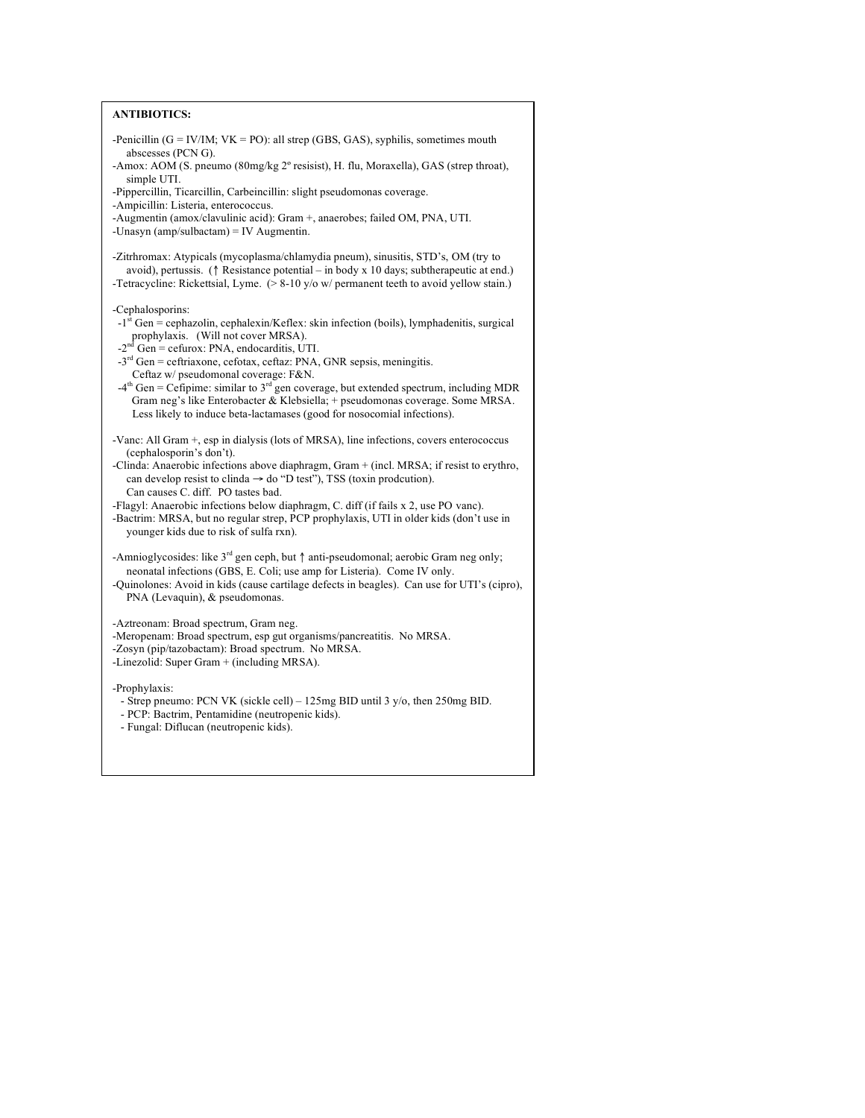| <b>ANTIBIOTICS:</b>                                                                                                                                                                                                                                                                                                                                                                                                                                                                                                                                                                              |
|--------------------------------------------------------------------------------------------------------------------------------------------------------------------------------------------------------------------------------------------------------------------------------------------------------------------------------------------------------------------------------------------------------------------------------------------------------------------------------------------------------------------------------------------------------------------------------------------------|
| -Penicillin $(G = IV/IM; VK = PO)$ : all strep $(GBS, GAS)$ , syphilis, sometimes mouth<br>abscesses (PCN G).<br>-Amox: AOM (S. pneumo (80mg/kg 2° resisist), H. flu, Moraxella), GAS (strep throat),                                                                                                                                                                                                                                                                                                                                                                                            |
| simple UTI.<br>-Pippercillin, Ticarcillin, Carbeincillin: slight pseudomonas coverage.                                                                                                                                                                                                                                                                                                                                                                                                                                                                                                           |
| -Ampicillin: Listeria, enterococcus.<br>-Augmentin (amox/clavulinic acid): Gram +, anaerobes; failed OM, PNA, UTI.<br>-Unasyn $\frac{amp/sulbactam}{= IV}$ Augmentin.                                                                                                                                                                                                                                                                                                                                                                                                                            |
| -Zitrhromax: Atypicals (mycoplasma/chlamydia pneum), sinusitis, STD's, OM (try to<br>avoid), pertussis. ( $\uparrow$ Resistance potential – in body x 10 days; subtherapeutic at end.)<br>-Tetracycline: Rickettsial, Lyme. $(> 8-10 \text{ y/o w/ permanent teeth to avoid yellow stain.})$                                                                                                                                                                                                                                                                                                     |
| -Cephalosporins:<br>$-1$ <sup>st</sup> Gen = cephazolin, cephalexin/Keflex: skin infection (boils), lymphadenitis, surgical<br>prophylaxis. (Will not cover MRSA).<br>$-2nd$ Gen = cefurox: PNA, endocarditis, UTI.<br>$-3rd$ Gen = ceftriaxone, cefotax, ceftaz: PNA, GNR sepsis, meningitis.<br>Ceftaz w/ pseudomonal coverage: F&N.<br>$-4th$ Gen = Cefipime: similar to $3rd$ gen coverage, but extended spectrum, including MDR<br>Gram neg's like Enterobacter & Klebsiella; + pseudomonas coverage. Some MRSA.<br>Less likely to induce beta-lactamases (good for nosocomial infections). |
| -Vanc: All Gram +, esp in dialysis (lots of MRSA), line infections, covers enterococcus<br>(cephalosporin's don't).<br>-Clinda: Anaerobic infections above diaphragm, Gram + (incl. MRSA; if resist to erythro,<br>can develop resist to clinda $\rightarrow$ do "D test"), TSS (toxin prodcution).<br>Can causes C. diff. PO tastes bad.<br>-Flagyl: Anaerobic infections below diaphragm, C. diff (if fails x 2, use PO vanc).<br>-Bactrim: MRSA, but no regular strep, PCP prophylaxis, UTI in older kids (don't use in<br>younger kids due to risk of sulfa rxn).                            |
| -Amnioglycosides: like $3^{rd}$ gen ceph, but $\uparrow$ anti-pseudomonal; aerobic Gram neg only;<br>neonatal infections (GBS, E. Coli; use amp for Listeria). Come IV only.<br>-Quinolones: Avoid in kids (cause cartilage defects in beagles). Can use for UTI's (cipro),<br>PNA (Levaquin), & pseudomonas.                                                                                                                                                                                                                                                                                    |
| -Aztreonam: Broad spectrum, Gram neg.<br>-Meropenam: Broad spectrum, esp gut organisms/pancreatitis. No MRSA.<br>-Zosyn (pip/tazobactam): Broad spectrum. No MRSA.<br>-Linezolid: Super Gram + (including MRSA).                                                                                                                                                                                                                                                                                                                                                                                 |
| -Prophylaxis:<br>- Strep pneumo: PCN VK (sickle cell) – 125mg BID until 3 y/o, then 250mg BID.<br>- PCP: Bactrim, Pentamidine (neutropenic kids).<br>- Fungal: Diflucan (neutropenic kids).                                                                                                                                                                                                                                                                                                                                                                                                      |
|                                                                                                                                                                                                                                                                                                                                                                                                                                                                                                                                                                                                  |